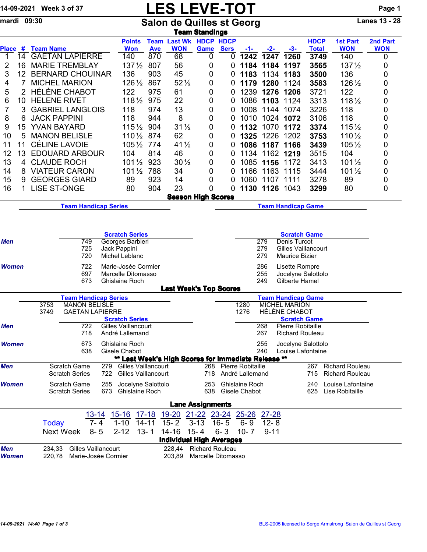## 14-09-2021 Week 3 of 37 **LES LEVE-TOT** Page 1

mardi 09:30 Salon de Quilles st Georg Lanes 13 - 28

|                            |                 |                                                                                                                                                                                           |                                                      |                       |                                                                                                                                                                                |                    |                                                     | <u>Team Standings</u>                                                                                          |             |                                             |              |                                                   |                             |                               |                        |
|----------------------------|-----------------|-------------------------------------------------------------------------------------------------------------------------------------------------------------------------------------------|------------------------------------------------------|-----------------------|--------------------------------------------------------------------------------------------------------------------------------------------------------------------------------|--------------------|-----------------------------------------------------|----------------------------------------------------------------------------------------------------------------|-------------|---------------------------------------------|--------------|---------------------------------------------------|-----------------------------|-------------------------------|------------------------|
| Place #                    |                 | <b>Team Name</b>                                                                                                                                                                          |                                                      |                       | <b>Points</b><br><b>Won</b>                                                                                                                                                    | <b>Ave</b>         | <b>Team Last Wk HDCP HDCP</b><br><b>WON</b>         | Game                                                                                                           | <b>Sers</b> | -1-                                         | -2-          | -3-                                               | <b>HDCP</b><br><b>Total</b> | <b>1st Part</b><br><b>WON</b> | 2nd Part<br><b>WON</b> |
| $\overline{1}$             | 14              |                                                                                                                                                                                           | <b>GAETAN LAPIERRE</b>                               |                       | 140                                                                                                                                                                            | 870                | 68                                                  | 0                                                                                                              | 0           | 1242                                        | 1247         | 1260                                              | 3749                        | 140                           | 0                      |
| 2                          | 16              |                                                                                                                                                                                           | <b>MARIE TREMBLAY</b>                                |                       | $137\frac{1}{2}$                                                                                                                                                               | 807                | 56                                                  | 0                                                                                                              | 0           |                                             | 1184 1184    | 1197                                              | 3565                        | $137\frac{1}{2}$              | 0                      |
| 3                          | 12              |                                                                                                                                                                                           | <b>BERNARD CHOUINAR</b>                              |                       | 136                                                                                                                                                                            | 903                | 45                                                  | 0                                                                                                              | 0           | 1183                                        | 1134         | 1183                                              | 3500                        | 136                           | 0                      |
| 4                          | 7               | <b>MICHEL MARION</b>                                                                                                                                                                      |                                                      |                       | $126\frac{1}{2}$                                                                                                                                                               | 867                | $52\frac{1}{2}$                                     | 0                                                                                                              | 0           | 1179                                        | 1280         | 1124                                              | 3583                        | 126 1/2                       | 0                      |
| 5                          | $\overline{2}$  | <b>HÉLÈNE CHABOT</b>                                                                                                                                                                      |                                                      |                       | 122                                                                                                                                                                            | 975                | 61                                                  | 0                                                                                                              | 0           | 1239                                        | 1276         | 1206                                              | 3721                        | 122                           | 0                      |
| 6                          | 10 <sup>°</sup> | <b>HELENE RIVET</b><br><b>GABRIEL LANGLOIS</b>                                                                                                                                            |                                                      |                       | $118\frac{1}{2}$                                                                                                                                                               | 975                | 22                                                  | 0                                                                                                              | 0           | 1086                                        | 1103         | 1124                                              | 3313                        | $118\frac{1}{2}$              | 0                      |
| 7                          | 3               |                                                                                                                                                                                           |                                                      |                       | 118                                                                                                                                                                            | 974                | 13                                                  | 0                                                                                                              | 0           | 1008                                        | 1144         | 1074                                              | 3226                        | 118                           | 0                      |
| 8                          | 6               | <b>JACK PAPPINI</b>                                                                                                                                                                       |                                                      |                       | 118                                                                                                                                                                            | 8<br>944<br>0<br>0 |                                                     | 1010                                                                                                           | 1024        | 1072                                        | 3106         | 118                                               | 0                           |                               |                        |
| 9                          | 15              | <b>YVAN BAYARD</b>                                                                                                                                                                        |                                                      |                       | 904<br>$115\frac{1}{2}$                                                                                                                                                        |                    | $31\frac{1}{2}$                                     | 0                                                                                                              | 0           | 1132                                        |              | 1070 1172                                         | 3374                        | $115\frac{1}{2}$              | 0                      |
| 10                         | 5               |                                                                                                                                                                                           | <b>MANON BELISLE</b>                                 |                       | 110 1/2 874                                                                                                                                                                    |                    | 62                                                  | 0                                                                                                              | 0           | 1325                                        | 1226         | 1202                                              | 3753                        | $110\frac{1}{2}$              | 0                      |
| 11                         | 11              |                                                                                                                                                                                           | <b>CÉLINE LAVOIE</b>                                 |                       | 105 1/2 774                                                                                                                                                                    |                    | $41\frac{1}{2}$                                     | 0                                                                                                              | 0           | 1086                                        | 1187         | 1166                                              | 3439                        | $105\frac{1}{2}$              | 0                      |
| 12                         | 13              |                                                                                                                                                                                           | <b>EDOUARD ARBOUR</b>                                |                       | 104                                                                                                                                                                            | 814                | 46                                                  | 0                                                                                                              | 0           | 1134                                        |              | 1162 1219                                         | 3515                        | 104                           | 0                      |
| 13                         | 4               | <b>CLAUDE ROCH</b>                                                                                                                                                                        |                                                      |                       | $101\frac{1}{2}$                                                                                                                                                               | 923                | $30\frac{1}{2}$                                     | 0                                                                                                              | 0           | 1085                                        | 1156         | 1172                                              | 3413                        | $101\frac{1}{2}$              | 0                      |
| 14                         | 8               |                                                                                                                                                                                           | <b>VIATEUR CARON</b>                                 |                       | $101\frac{1}{2}$                                                                                                                                                               | 788                | 34                                                  | 0                                                                                                              | 0           | 1166                                        | 1163         | 1115                                              | 3444                        | $101\frac{1}{2}$              | 0                      |
| 15                         | 9               |                                                                                                                                                                                           | <b>GEORGES GIARD</b>                                 |                       | 89                                                                                                                                                                             | 923                | 14                                                  | 0                                                                                                              | 0           | 1060                                        | 1107         | 1111                                              | 3278                        | 89                            | 0                      |
| 16                         | 1               | <b>LISE ST-ONGE</b>                                                                                                                                                                       |                                                      |                       | 80                                                                                                                                                                             | 904                | 23                                                  | 0                                                                                                              | 0           | 1130                                        | 1126         | 1043                                              | 3299                        | 80                            | 0                      |
|                            |                 |                                                                                                                                                                                           |                                                      |                       |                                                                                                                                                                                |                    | <b>Season High Scores</b>                           |                                                                                                                |             |                                             |              |                                                   |                             |                               |                        |
|                            |                 |                                                                                                                                                                                           | <b>Team Handicap Series</b>                          |                       |                                                                                                                                                                                |                    |                                                     |                                                                                                                |             |                                             |              | <b>Team Handicap Game</b>                         |                             |                               |                        |
| <b>Men</b><br><b>Women</b> |                 | <b>Scratch Series</b><br>749<br>725<br>Jack Pappini<br>720<br>722                                                                                                                         |                                                      |                       | 279<br>Denis Turcot<br>Georges Barbieri<br>279<br><b>Gilles Vaillancourt</b><br>Michel Leblanc<br>279<br><b>Maurice Bizier</b><br>Marie-Josée Cormier<br>286<br>Lisette Rompre |                    |                                                     |                                                                                                                |             |                                             |              |                                                   |                             |                               |                        |
|                            |                 | 697<br>Marcelle Ditomasso<br>673<br><b>Ghislaine Roch</b>                                                                                                                                 |                                                      |                       |                                                                                                                                                                                |                    |                                                     |                                                                                                                |             |                                             | 255<br>249   | Gilberte Hamel                                    | Jocelyne Salottolo          |                               |                        |
|                            |                 |                                                                                                                                                                                           |                                                      |                       |                                                                                                                                                                                |                    | <b>Last Week's Top Scores</b>                       |                                                                                                                |             |                                             |              |                                                   |                             |                               |                        |
|                            |                 |                                                                                                                                                                                           | <b>Team Handicap Series</b><br><b>MANON BELISLE</b>  |                       |                                                                                                                                                                                |                    |                                                     |                                                                                                                |             |                                             |              | <b>Team Handicap Game</b><br><b>MICHEL MARION</b> |                             |                               |                        |
|                            |                 | 3753<br>3749                                                                                                                                                                              | <b>GAETAN LAPIERRE</b>                               | <b>Scratch Series</b> |                                                                                                                                                                                |                    |                                                     | 1280<br>1276                                                                                                   |             | <b>HÉLÈNE CHABOT</b><br><b>Scratch Game</b> |              |                                                   |                             |                               |                        |
| Men                        |                 |                                                                                                                                                                                           | 722<br>Gilles Vaillancourt<br>718<br>André Lallemand |                       |                                                                                                                                                                                |                    |                                                     |                                                                                                                |             |                                             | 268<br>267   | Pierre Robitaille<br><b>Richard Rouleau</b>       |                             |                               |                        |
| <b>Women</b>               |                 |                                                                                                                                                                                           | 673<br>638                                           |                       | Ghislaine Roch<br>Gisele Chabot                                                                                                                                                |                    | ** Last Week's High Scores for Immediate Release ** |                                                                                                                |             |                                             | 255<br>240   | Louise Lafontaine                                 | Jocelyne Salottolo          |                               |                        |
| <b>Men</b>                 |                 |                                                                                                                                                                                           | Scratch Game<br><b>Scratch Series</b>                | 279 -<br>722          | <b>Gilles Vaillancourt</b><br><b>Gilles Vaillancourt</b>                                                                                                                       |                    |                                                     | 268 Pierre Robitaille<br><b>Richard Rouleau</b><br>267<br>718 André Lallemand<br><b>Richard Rouleau</b><br>715 |             |                                             |              |                                                   |                             |                               |                        |
| Women                      |                 | Scratch Game<br>Jocelyne Salottolo<br>Ghislaine Roch<br>255<br>Louise Lafontaine<br>253<br>240<br>673 Ghislaine Roch<br><b>Scratch Series</b><br>638 Gisele Chabot<br>625 Lise Robitaille |                                                      |                       |                                                                                                                                                                                |                    |                                                     |                                                                                                                |             |                                             |              |                                                   |                             |                               |                        |
|                            |                 |                                                                                                                                                                                           |                                                      |                       |                                                                                                                                                                                |                    | <b>Lane Assignments</b>                             |                                                                                                                |             |                                             |              |                                                   |                             |                               |                        |
|                            |                 |                                                                                                                                                                                           | <u> 13-14 </u>                                       |                       | <u>15-16</u> 17-18                                                                                                                                                             |                    | <u>19-20 21-22 23-24 25-26</u>                      |                                                                                                                |             |                                             | <u>27-28</u> |                                                   |                             |                               |                        |
|                            |                 | <b>Today</b><br>$7 - 4$<br>$1 - 10$<br>$14 - 11$<br>$15 - 2$<br>$3 - 13$<br>$16 - 5$<br>$6 - 9$<br>$12 - 8$                                                                               |                                                      |                       |                                                                                                                                                                                |                    |                                                     |                                                                                                                |             |                                             |              |                                                   |                             |                               |                        |
|                            |                 | $2 - 12$<br>$13 - 1$<br>$15 - 4$<br>Next Week<br>$8 - 5$<br>$14 - 16$<br>$6 - 3$<br>$10 - 7$<br>$9 - 11$                                                                                  |                                                      |                       |                                                                                                                                                                                |                    |                                                     |                                                                                                                |             |                                             |              |                                                   |                             |                               |                        |
|                            |                 |                                                                                                                                                                                           |                                                      |                       |                                                                                                                                                                                |                    | <b>Individual High Averages</b>                     |                                                                                                                |             |                                             |              |                                                   |                             |                               |                        |
| <b>Men</b><br>Women        |                 | 234,33<br>220,78                                                                                                                                                                          | <b>Gilles Vaillancourt</b><br>Marie-Josée Cormier    |                       |                                                                                                                                                                                |                    | 228,44 Richard Rouleau<br>203,89                    | Marcelle Ditomasso                                                                                             |             |                                             |              |                                                   |                             |                               |                        |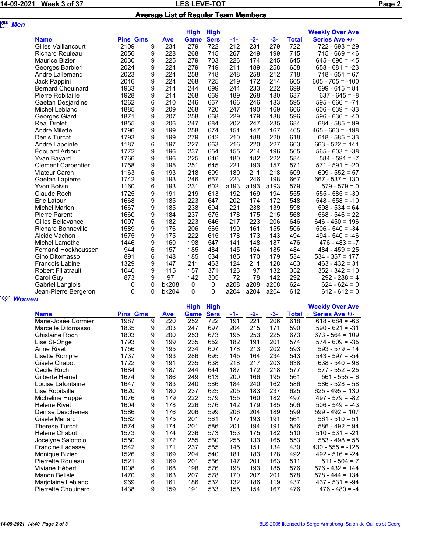## 14-09-2021 Week 3 of 37 **LES LEVE-TOT LES LEVE-TOT Page 2** Average List of Regular Team Members

| <b>att</b> Men |                            |                 |   |            |             |             |      |       |       |              |                        |
|----------------|----------------------------|-----------------|---|------------|-------------|-------------|------|-------|-------|--------------|------------------------|
|                |                            |                 |   |            | <b>High</b> | <b>High</b> |      |       |       |              | <b>Weekly Over Ave</b> |
|                | <b>Name</b>                | <b>Pins Gms</b> |   | <b>Ave</b> | Game        | <b>Sers</b> | -1-  | $-2-$ | $-3-$ | <b>Total</b> | Series Ave +/-         |
|                | <b>Gilles Vaillancourt</b> | 2109            | 9 | 234        | 279         | 722         | 212  | 231   | 279   | 722          | $722 - 693 = 29$       |
|                | <b>Richard Rouleau</b>     | 2056            | 9 | 228        | 268         | 715         | 267  | 249   | 199   | 715          | $715 - 669 = 46$       |
|                | Maurice Bizier             | 2030            | 9 | 225        | 279         | 703         | 226  | 174   | 245   | 645          | $645 - 690 = -45$      |
|                | Georges Barbieri           | 2024            | 9 | 224        | 279         | 749         | 211  | 189   | 258   | 658          | $658 - 681 = -23$      |
|                | André Lallemand            | 2023            | 9 | 224        | 258         | 718         | 248  | 258   | 212   | 718          | $718 - 651 = 67$       |
|                | Jack Pappini               | 2016            | 9 | 224        | 268         | 725         | 219  | 172   | 214   | 605          | $605 - 705 = -100$     |
|                | <b>Bernard Chouinard</b>   | 1933            | 9 | 214        | 244         | 699         | 244  | 233   | 222   | 699          | $699 - 615 = 84$       |
|                | Pierre Robitaille          | 1928            | 9 | 214        | 268         | 669         | 189  | 268   | 180   | 637          | $637 - 645 = -8$       |
|                | Gaetan Desjardins          | 1262            | 6 | 210        | 246         | 667         | 166  | 246   | 183   | 595          | $595 - 666 = -71$      |
|                | Michel Leblanc             | 1885            | 9 | 209        | 268         | 720         | 247  | 190   | 169   | 606          | $606 - 639 = -33$      |
|                | Georges Giard              | 1871            | 9 | 207        | 258         | 668         | 229  | 179   | 188   | 596          | $596 - 636 = -40$      |
|                | <b>Real Drolet</b>         | 1855            | 9 | 206        | 247         | 684         | 202  | 247   | 235   | 684          | $684 - 585 = 99$       |
|                | <b>Andre Milette</b>       | 1796            | 9 | 199        | 258         | 674         | 151  | 147   | 167   | 465          | $465 - 663 = -198$     |
|                | Denis Turcot               | 1793            | 9 | 199        | 279         | 642         | 210  | 188   | 220   | 618          | $618 - 585 = 33$       |
|                | Andre Lapointe             | 1187            | 6 | 197        | 227         | 663         | 216  | 220   | 227   | 663          | $663 - 522 = 141$      |
|                | <b>Edouard Arbour</b>      | 1772            | 9 | 196        | 237         | 654         | 155  | 214   | 196   | 565          | $565 - 603 = -38$      |
|                | Yvan Bayard                | 1766            | 9 | 196        | 225         | 646         | 180  | 182   | 222   | 584          | $584 - 591 = -7$       |
|                | <b>Clement Carpentier</b>  | 1758            | 9 | 195        | 251         | 645         | 221  | 193   | 157   | 571          | $571 - 591 = -20$      |
|                | Viateur Caron              | 1163            | 6 | 193        | 218         | 609         | 180  | 211   | 218   | 609          | $609 - 552 = 57$       |
|                | Gaetan Lapierre            | 1742            | 9 | 193        | 246         | 667         | 223  | 246   | 198   | 667          | $667 - 537 = 130$      |
|                | <b>Yvon Boivin</b>         | 1160            | 6 | 193        | 231         | 602         | a193 | a193  | a193  | 579          | $579 - 579 = 0$        |
|                | Claude Roch                | 1725            | 9 | 191        | 219         | 613         | 192  | 169   | 194   | 555          | $555 - 585 = -30$      |
|                | <b>Eric Latour</b>         | 1668            | 9 | 185        | 223         | 647         | 202  | 174   | 172   | 548          | $548 - 558 = -10$      |
|                | <b>Michel Marion</b>       | 1667            | 9 | 185        | 238         | 604         | 221  | 238   | 139   | 598          | $598 - 534 = 64$       |
|                | <b>Pierre Parent</b>       | 1660            | 9 | 184        | 237         | 575         | 178  | 175   | 215   | 568          | $568 - 546 = 22$       |
|                | Gilles Bellavance          | 1097            | 6 | 182        | 223         | 646         | 217  | 223   | 206   | 646          | $646 - 450 = 196$      |
|                | <b>Richard Bonneville</b>  | 1589            | 9 | 176        | 206         | 565         | 190  | 161   | 155   | 506          | $506 - 540 = -34$      |
|                | Alcide Vachon              | 1575            | 9 | 175        | 222         | 615         | 178  | 173   | 143   | 494          | $494 - 540 = -46$      |
|                | Michel Lamothe             | 1446            | 9 | 160        | 198         | 547         | 141  | 148   | 187   | 476          | $476 - 483 = -7$       |
|                | Fernand Hockhoussen        | 944             | 6 | 157        | 185         | 484         | 145  | 154   | 185   | 484          | $484 - 459 = 25$       |
|                | Gino Ditomasso             | 891             | 6 | 148        | 185         | 534         | 185  | 170   | 179   | 534          | $534 - 357 = 177$      |
|                | <b>Francois Labine</b>     | 1329            | 9 | 147        | 211         | 463         | 124  | 211   | 128   | 463          | $463 - 432 = 31$       |
|                | <b>Robert Filiatrault</b>  | 1040            | 9 | 115        | 157         | 371         | 123  | 97    | 132   | 352          | $352 - 342 = 10$       |
|                | Carol Guy                  | 873             | 9 | 97         | 142         | 305         | 72   | 78    | 142   | 292          | $292 - 288 = 4$        |
|                | Gabriel Langlois           | 0               | 0 | bk208      | $\mathbf 0$ | 0           | a208 | a208  | a208  | 624          | $624 - 624 = 0$        |
|                | Jean-Pierre Bergeron       | 0               | 0 | bk204      | 0           | 0           | a204 | a204  | a204  | 612          | $612 - 612 = 0$        |
| <b>Women</b>   |                            |                 |   |            |             |             |      |       |       |              |                        |

|                            |                 |   |            | <b>High</b> | <b>High</b> |     |       |       |              | <b>Weekly Over Ave</b> |
|----------------------------|-----------------|---|------------|-------------|-------------|-----|-------|-------|--------------|------------------------|
| <b>Name</b>                | <b>Pins Gms</b> |   | <b>Ave</b> | Game        | <b>Sers</b> | -1- | $-2-$ | $-3-$ | <b>Total</b> | Series Ave +/-         |
| Marie-Josée Cormier        | 1987            | 9 | 220        | 252         | 722         | 191 | 221   | 206   | 618          | $618 - 684 = -66$      |
| Marcelle Ditomasso         | 1835            | 9 | 203        | 247         | 697         | 204 | 215   | 171   | 590          | $590 - 621 = -31$      |
| Ghislaine Roch             | 1803            | 9 | 200        | 253         | 673         | 195 | 253   | 225   | 673          | $673 - 564 = 109$      |
| Lise St-Onge               | 1793            | 9 | 199        | 235         | 652         | 182 | 191   | 201   | 574          | $574 - 609 = -35$      |
| Anne Rivet                 | 1756            | 9 | 195        | 234         | 607         | 178 | 213   | 202   | 593          | $593 - 579 = 14$       |
| Lisette Rompre             | 1737            | 9 | 193        | 286         | 695         | 145 | 164   | 234   | 543          | $543 - 597 = -54$      |
| Gisele Chabot              | 1722            | 9 | 191        | 235         | 638         | 218 | 217   | 203   | 638          | $638 - 540 = 98$       |
| Cecile Roch                | 1684            | 9 | 187        | 244         | 644         | 187 | 172   | 218   | 577          | $577 - 552 = 25$       |
| Gilberte Hamel             | 1674            | 9 | 186        | 249         | 613         | 200 | 166   | 195   | 561          | $561 - 555 = 6$        |
| Louise Lafontaine          | 1647            | 9 | 183        | 240         | 586         | 184 | 240   | 162   | 586          | $586 - 528 = 58$       |
| Lise Robitaille            | 1620            | 9 | 180        | 237         | 625         | 205 | 183   | 237   | 625          | 625 - 495 = 130        |
| Micheline Huppé            | 1076            | 6 | 179        | 222         | 579         | 155 | 160   | 182   | 497          | $497 - 579 = -82$      |
| <b>Helene Rivet</b>        | 1604            | 9 | 178        | 226         | 576         | 142 | 179   | 185   | 506          | $506 - 549 = -43$      |
| Denise Deschenes           | 1586            | 9 | 176        | 206         | 599         | 206 | 204   | 189   | 599          | $599 - 492 = 107$      |
| Gisele Menard              | 1582            | 9 | 175        | 201         | 561         | 177 | 193   | 191   | 561          | $561 - 510 = 51$       |
| <b>Therese Turcot</b>      | 1574            | 9 | 174        | 201         | 586         | 201 | 194   | 191   | 586          | $586 - 492 = 94$       |
| Helene Chabot              | 1573            | 9 | 174        | 236         | 573         | 153 | 175   | 182   | 510          | $510 - 531 = -21$      |
| Jocelyne Salottolo         | 1550            | 9 | 172        | 255         | 560         | 255 | 133   | 165   | 553          | $553 - 498 = 55$       |
| <b>Francine Lacasse</b>    | 1542            | 9 | 171        | 237         | 585         | 145 | 151   | 134   | 430          | $430 - 555 = -125$     |
| Monique Bizier             | 1526            | 9 | 169        | 204         | 540         | 181 | 183   | 128   | 492          | $492 - 516 = -24$      |
| Pierrette Rouleau          | 1521            | 9 | 169        | 201         | 566         | 147 | 201   | 163   | 511          | $511 - 504 = 7$        |
| Viviane Hébert             | 1008            | 6 | 168        | 198         | 576         | 198 | 193   | 185   | 576          | $576 - 432 = 144$      |
| Manon Belisle              | 1470            | 9 | 163        | 207         | 578         | 170 | 207   | 201   | 578          | $578 - 444 = 134$      |
| Marjolaine Leblanc         | 969             | 6 | 161        | 186         | 532         | 132 | 186   | 119   | 437          | $437 - 531 = -94$      |
| <b>Pierrette Chouinard</b> | 1438            | 9 | 159        | 191         | 533         | 155 | 154   | 167   | 476          | $476 - 480 = -4$       |